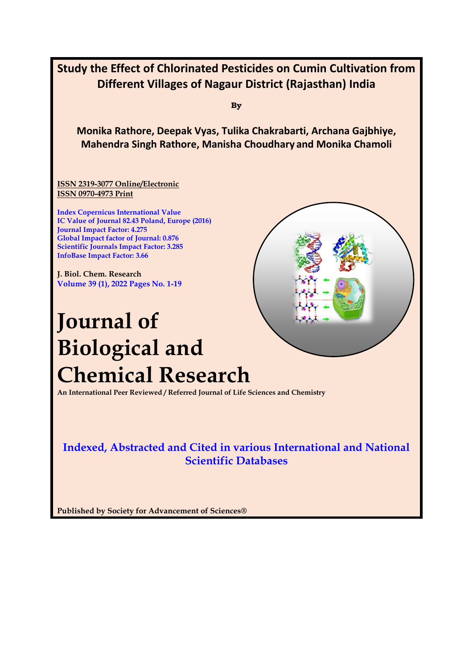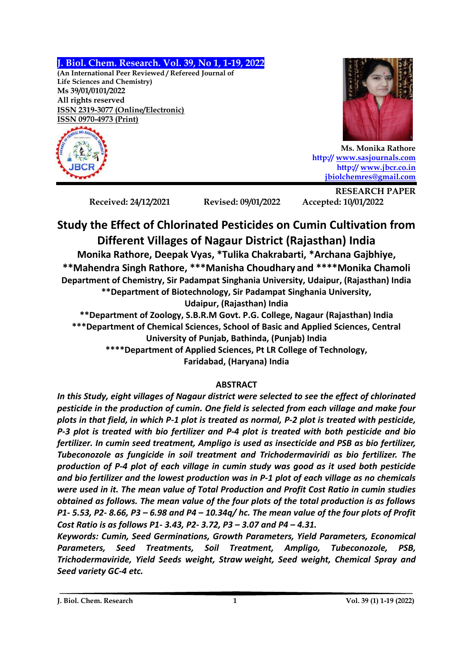**J. Biol. Chem. Research. Vol. 39, No 1, 1-19, 2022 (An International Peer Reviewed / Refereed Journal of Life Sciences and Chemistry) Ms 39/01/0101/2022 All rights reserved ISSN 2319-3077 (Online/Electronic) ISSN 0970-4973 (Print)**





**Ms. Monika Rathore http:// [www.sasjournals.com](http://www.sasjournals.com/) http:/[/ www.jbcr.co.in](http://www.jbcr.co.in/) [jbiolchemres@gmail.com](mailto:jbiolchemres@gmail.com)**

**Received: 24/12/2021 Revised: 09/01/2022 Accepted: 10/01/2022**

**RESEARCH PAPER**

# **Study the Effect of Chlorinated Pesticides on Cumin Cultivation from Different Villages of Nagaur District (Rajasthan) India**

**Monika Rathore, Deepak Vyas, \*Tulika Chakrabarti, \*Archana Gajbhiye, \*\*Mahendra Singh Rathore, \*\*\*Manisha Choudhary and \*\*\*\*Monika Chamoli Department of Chemistry, Sir Padampat Singhania University, Udaipur, (Rajasthan) India \*\*Department of Biotechnology, Sir Padampat Singhania University, Udaipur, (Rajasthan) India**

**\*\*Department of Zoology, S.B.R.M Govt. P.G. College, Nagaur (Rajasthan) India \*\*\*Department of Chemical Sciences, School of Basic and Applied Sciences, Central University of Punjab, Bathinda, (Punjab) India \*\*\*\*Department of Applied Sciences, Pt LR College of Technology, Faridabad, (Haryana) India**

# **ABSTRACT**

*In this Study, eight villages of Nagaur district were selected to see the effect of chlorinated pesticide in the production of cumin. One field is selected from each village and make four plots in that field, in which P-1 plot is treated as normal, P-2 plot is treated with pesticide, P-3 plot is treated with bio fertilizer and P-4 plot is treated with both pesticide and bio fertilizer. In cumin seed treatment, Ampligo is used as insecticide and PSB as bio fertilizer, Tubeconozole as fungicide in soil treatment and Trichodermaviridi as bio fertilizer. The production of P-4 plot of each village in cumin study was good as it used both pesticide and bio fertilizer and the lowest production was in P-1 plot of each village as no chemicals were used in it. The mean value of Total Production and Profit Cost Ratio in cumin studies obtained as follows. The mean value of the four plots of the total production is as follows P1- 5.53, P2- 8.66, P3 – 6.98 and P4 – 10.34q/ hc. The mean value of the four plots of Profit Cost Ratio is as follows P1- 3.43, P2- 3.72, P3 – 3.07 and P4 – 4.31.* 

*Keywords: Cumin, Seed Germinations, Growth Parameters, Yield Parameters, Economical Parameters, Seed Treatments, Soil Treatment, Ampligo, Tubeconozole, PSB, Trichodermaviride, Yield Seeds weight, Straw weight, Seed weight, Chemical Spray and Seed variety GC-4 etc.*

**J. Biol. Chem. Research 1 Vol. 39 (1) 1-19 (2022)**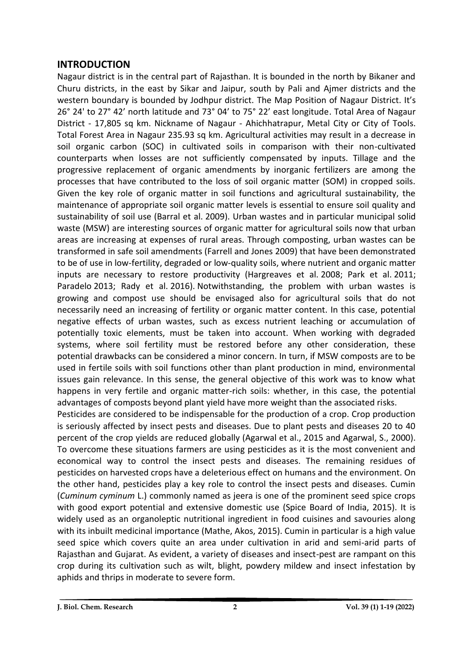## **INTRODUCTION**

Nagaur district is in the central part of Rajasthan. It is bounded in the north by Bikaner and Churu districts, in the east by Sikar and Jaipur, south by Pali and Ajmer districts and the western boundary is bounded by Jodhpur district. The Map Position of Nagaur District. It's 26° 24' to 27° 42' north latitude and 73° 04' to 75° 22' east longitude. Total Area of Nagaur District - 17,805 sq km. Nickname of Nagaur - Ahichhatrapur, Metal City or City of Tools. Total Forest Area in Nagaur 235.93 sq km. Agricultural activities may result in a decrease in soil organic carbon (SOC) in cultivated soils in comparison with their non-cultivated counterparts when losses are not sufficiently compensated by inputs. Tillage and the progressive replacement of organic amendments by inorganic fertilizers are among the processes that have contributed to the loss of soil organic matter (SOM) in cropped soils. Given the key role of organic matter in soil functions and agricultural sustainability, the maintenance of appropriate soil organic matter levels is essential to ensure soil quality and sustainability of soil use (Barral et al. [2009\)](https://link.springer.com/article/10.1007/s40093-019-0246-x#ref-CR3). Urban wastes and in particular municipal solid waste (MSW) are interesting sources of organic matter for agricultural soils now that urban areas are increasing at expenses of rural areas. Through composting, urban wastes can be transformed in safe soil amendments (Farrell and Jones [2009\)](https://link.springer.com/article/10.1007/s40093-019-0246-x#ref-CR11) that have been demonstrated to be of use in low-fertility, degraded or low-quality soils, where nutrient and organic matter inputs are necessary to restore productivity (Hargreaves et al. [2008;](https://link.springer.com/article/10.1007/s40093-019-0246-x#ref-CR16) Park et al. [2011;](https://link.springer.com/article/10.1007/s40093-019-0246-x#ref-CR33) Paradelo [2013;](https://link.springer.com/article/10.1007/s40093-019-0246-x#ref-CR24) Rady et al. [2016\)](https://link.springer.com/article/10.1007/s40093-019-0246-x#ref-CR34). Notwithstanding, the problem with urban wastes is growing and compost use should be envisaged also for agricultural soils that do not necessarily need an increasing of fertility or organic matter content. In this case, potential negative effects of urban wastes, such as excess nutrient leaching or accumulation of potentially toxic elements, must be taken into account. When working with degraded systems, where soil fertility must be restored before any other consideration, these potential drawbacks can be considered a minor concern. In turn, if MSW composts are to be used in fertile soils with soil functions other than plant production in mind, environmental issues gain relevance. In this sense, the general objective of this work was to know what happens in very fertile and organic matter-rich soils: whether, in this case, the potential advantages of composts beyond plant yield have more weight than the associated risks. Pesticides are considered to be indispensable for the production of a crop. Crop production is seriously affected by insect pests and diseases. Due to plant pests and diseases 20 to 40 percent of the crop yields are reduced globally (Agarwal et al., 2015 and Agarwal, S., 2000). To overcome these situations farmers are using pesticides as it is the most convenient and

economical way to control the insect pests and diseases. The remaining residues of pesticides on harvested crops have a deleterious effect on humans and the environment. On the other hand, pesticides play a key role to control the insect pests and diseases. Cumin (*Cuminum cyminum* L.) commonly named as jeera is one of the prominent seed spice crops with good export potential and extensive domestic use (Spice Board of India, 2015). It is widely used as an organoleptic nutritional ingredient in food cuisines and savouries along with its inbuilt medicinal importance (Mathe, Akos, 2015). Cumin in particular is a high value seed spice which covers quite an area under cultivation in arid and semi-arid parts of Rajasthan and Gujarat. As evident, a variety of diseases and insect-pest are rampant on this crop during its cultivation such as wilt, blight, powdery mildew and insect infestation by aphids and thrips in moderate to severe form.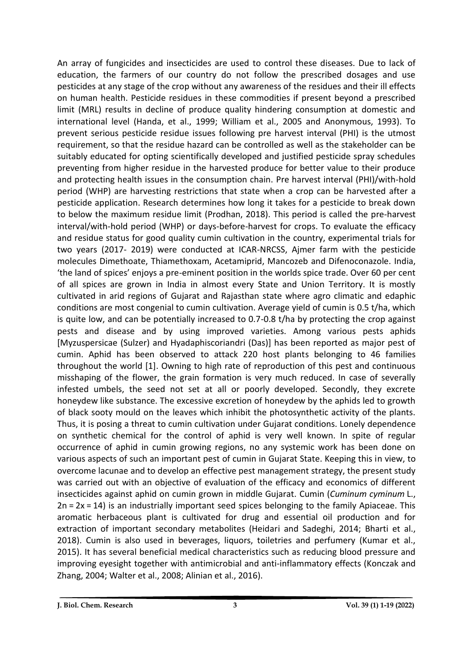An array of fungicides and insecticides are used to control these diseases. Due to lack of education, the farmers of our country do not follow the prescribed dosages and use pesticides at any stage of the crop without any awareness of the residues and their ill effects on human health. Pesticide residues in these commodities if present beyond a prescribed limit (MRL) results in decline of produce quality hindering consumption at domestic and international level (Handa, et al., 1999; William et al., 2005 and Anonymous, 1993). To prevent serious pesticide residue issues following pre harvest interval (PHI) is the utmost requirement, so that the residue hazard can be controlled as well as the stakeholder can be suitably educated for opting scientifically developed and justified pesticide spray schedules preventing from higher residue in the harvested produce for better value to their produce and protecting health issues in the consumption chain. Pre harvest interval (PHI)/with-hold period (WHP) are harvesting restrictions that state when a crop can be harvested after a pesticide application. Research determines how long it takes for a pesticide to break down to below the maximum residue limit (Prodhan, 2018). This period is called the pre-harvest interval/with-hold period (WHP) or days-before-harvest for crops. To evaluate the efficacy and residue status for good quality cumin cultivation in the country, experimental trials for two years (2017- 2019) were conducted at ICAR-NRCSS, Ajmer farm with the pesticide molecules Dimethoate, Thiamethoxam, Acetamiprid, Mancozeb and Difenoconazole. India, 'the land of spices' enjoys a pre-eminent position in the worlds spice trade. Over 60 per cent of all spices are grown in India in almost every State and Union Territory. It is mostly cultivated in arid regions of Gujarat and Rajasthan state where agro climatic and edaphic conditions are most congenial to cumin cultivation. Average yield of cumin is 0.5 t/ha, which is quite low, and can be potentially increased to 0.7-0.8 t/ha by protecting the crop against pests and disease and by using improved varieties. Among various pests aphids [Myzuspersicae (Sulzer) and Hyadaphiscoriandri (Das)] has been reported as major pest of cumin. Aphid has been observed to attack 220 host plants belonging to 46 families throughout the world [1]. Owning to high rate of reproduction of this pest and continuous misshaping of the flower, the grain formation is very much reduced. In case of severally infested umbels, the seed not set at all or poorly developed. Secondly, they excrete honeydew like substance. The excessive excretion of honeydew by the aphids led to growth of black sooty mould on the leaves which inhibit the photosynthetic activity of the plants. Thus, it is posing a threat to cumin cultivation under Gujarat conditions. Lonely dependence on synthetic chemical for the control of aphid is very well known. In spite of regular occurrence of aphid in cumin growing regions, no any systemic work has been done on various aspects of such an important pest of cumin in Gujarat State. Keeping this in view, to overcome lacunae and to develop an effective pest management strategy, the present study was carried out with an objective of evaluation of the efficacy and economics of different insecticides against aphid on cumin grown in middle Gujarat. Cumin (*Cuminum cyminum* L.,  $2n = 2x = 14$ ) is an industrially important seed spices belonging to the family Apiaceae. This aromatic herbaceous plant is cultivated for drug and essential oil production and for extraction of important secondary metabolites (Heidari and Sadeghi, 2014; Bharti et al., 2018). Cumin is also used in beverages, liquors, toiletries and perfumery (Kumar et al., 2015). It has several beneficial medical characteristics such as reducing blood pressure and improving eyesight together with antimicrobial and anti-inflammatory effects (Konczak and Zhang, 2004; Walter et al., 2008; Alinian et al., 2016).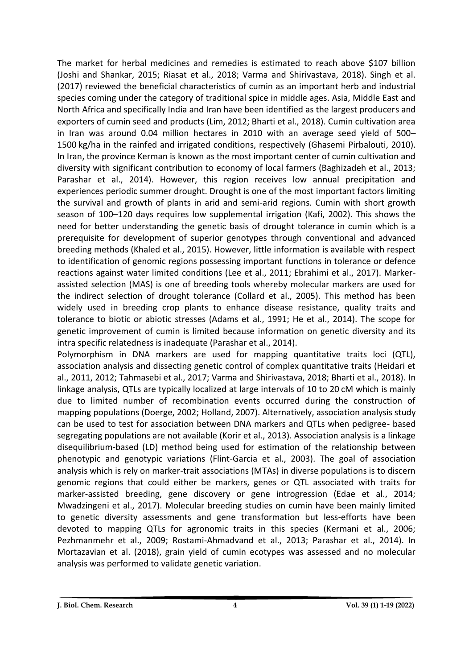The market for herbal medicines and remedies is estimated to reach above \$107 billion (Joshi and Shankar, 2015; Riasat et al., 2018; Varma and Shirivastava, 2018). Singh et al. (2017) reviewed the beneficial characteristics of cumin as an important herb and industrial species coming under the category of traditional spice in middle ages. Asia, Middle East and North Africa and specifically India and Iran have been identified as the largest producers and exporters of cumin seed and products (Lim, 2012; Bharti et al., 2018). Cumin cultivation area in Iran was around 0.04 million hectares in 2010 with an average seed yield of 500– 1500 kg/ha in the rainfed and irrigated conditions, respectively (Ghasemi Pirbalouti, 2010). In Iran, the province Kerman is known as the most important center of cumin cultivation and diversity with significant contribution to economy of local farmers (Baghizadeh et al., 2013; Parashar et al., 2014). However, this region receives low annual precipitation and experiences periodic summer drought. Drought is one of the most important factors limiting the survival and growth of plants in arid and semi-arid regions. Cumin with short growth season of 100–120 days requires low supplemental irrigation (Kafi, 2002). This shows the need for better understanding the genetic basis of drought tolerance in cumin which is a prerequisite for development of superior genotypes through conventional and advanced breeding methods (Khaled et al., 2015). However, little information is available with respect to identification of genomic regions possessing important functions in tolerance or defence reactions against water limited conditions (Lee et al., 2011; Ebrahimi et al., 2017). Markerassisted selection (MAS) is one of breeding tools whereby molecular markers are used for the indirect selection of drought tolerance (Collard et al., 2005). This method has been widely used in breeding crop plants to enhance disease resistance, quality traits and tolerance to biotic or abiotic stresses (Adams et al., 1991; He et al., 2014). The scope for genetic improvement of cumin is limited because information on genetic diversity and its intra specific relatedness is inadequate (Parashar et al., 2014).

Polymorphism in DNA markers are used for mapping quantitative traits loci (QTL), association analysis and dissecting genetic control of complex quantitative traits (Heidari et al., 2011, 2012; Tahmasebi et al., 2017; Varma and Shirivastava, 2018; Bharti et al., 2018). In linkage analysis, QTLs are typically localized at large intervals of 10 to 20 cM which is mainly due to limited number of recombination events occurred during the construction of mapping populations (Doerge, 2002; Holland, 2007). Alternatively, association analysis study can be used to test for association between DNA markers and QTLs when pedigree- based segregating populations are not available (Korir et al., 2013). Association analysis is a linkage disequilibrium-based (LD) method being used for estimation of the relationship between phenotypic and genotypic variations (Flint-Garcia et al., 2003). The goal of association analysis which is rely on marker-trait associations (MTAs) in diverse populations is to discern genomic regions that could either be markers, genes or QTL associated with traits for marker-assisted breeding, gene discovery or gene introgression (Edae et al., 2014; Mwadzingeni et al., 2017). Molecular breeding studies on cumin have been mainly limited to genetic diversity assessments and gene transformation but less-efforts have been devoted to mapping QTLs for agronomic traits in this species (Kermani et al., 2006; Pezhmanmehr et al., 2009; Rostami-Ahmadvand et al., 2013; Parashar et al., 2014). In Mortazavian et al. (2018), grain yield of cumin ecotypes was assessed and no molecular analysis was performed to validate genetic variation.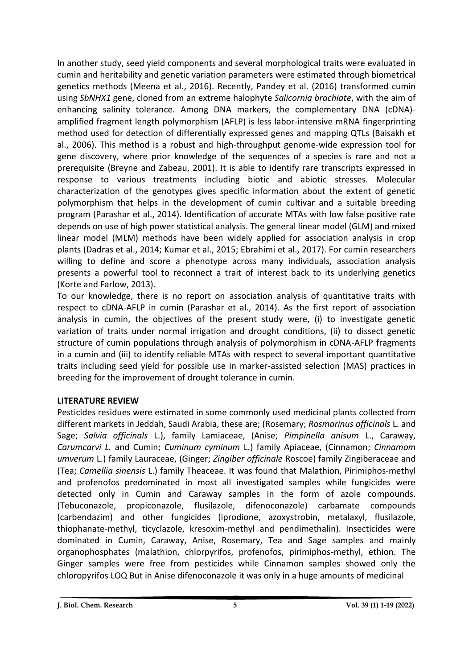In another study, seed yield components and several morphological traits were evaluated in cumin and heritability and genetic variation parameters were estimated through biometrical genetics methods (Meena et al., 2016). Recently, Pandey et al. (2016) transformed cumin using *SbNHX1* gene, cloned from an extreme halophyte *Salicornia brachiate*, with the aim of enhancing salinity tolerance. Among DNA markers, the complementary DNA (cDNA) amplified fragment length polymorphism (AFLP) is less labor-intensive mRNA fingerprinting method used for detection of differentially expressed genes and mapping QTLs (Baisakh et al., 2006). This method is a robust and high-throughput genome-wide expression tool for gene discovery, where prior knowledge of the sequences of a species is rare and not a prerequisite (Breyne and Zabeau, 2001). It is able to identify rare transcripts expressed in response to various treatments including biotic and abiotic stresses. Molecular characterization of the genotypes gives specific information about the extent of genetic polymorphism that helps in the development of cumin cultivar and a suitable breeding program (Parashar et al., 2014). Identification of accurate MTAs with low false positive rate depends on use of high power statistical analysis. The general linear model (GLM) and mixed linear model (MLM) methods have been widely applied for association analysis in crop plants (Dadras et al., 2014; Kumar et al., 2015; Ebrahimi et al., 2017). For cumin researchers willing to define and score a phenotype across many individuals, association analysis presents a powerful tool to reconnect a trait of interest back to its underlying genetics (Korte and Farlow, 2013).

To our knowledge, there is no report on association analysis of quantitative traits with respect to cDNA-AFLP in cumin (Parashar et al., 2014). As the first report of association analysis in cumin, the objectives of the present study were, (i) to investigate genetic variation of traits under normal irrigation and drought conditions, (ii) to dissect genetic structure of cumin populations through analysis of polymorphism in cDNA-AFLP fragments in a cumin and (iii) to identify reliable MTAs with respect to several important quantitative traits including seed yield for possible use in marker-assisted selection (MAS) practices in breeding for the improvement of drought tolerance in cumin.

## **LITERATURE REVIEW**

Pesticides residues were estimated in some commonly used medicinal plants collected from different markets in Jeddah, Saudi Arabia, these are; (Rosemary; *Rosmarinus officinals* L. and Sage; *Salvia officinals* L.), family Lamiaceae, (Anise; *Pimpinella anisum* L., Caraway, *Carumcarvi L.* and Cumin; *Cuminum cyminum* L.) family Apiaceae, (Cinnamon; *Cinnamom umverum* L.) family Lauraceae, (Ginger; *Zingiber officinale* Roscoe) family Zingiberaceae and (Tea; *Camellia sinensis* L.) family Theaceae. It was found that Malathion, Pirimiphos-methyl and profenofos predominated in most all investigated samples while fungicides were detected only in Cumin and Caraway samples in the form of azole compounds. (Tebuconazole, propiconazole, flusilazole, difenoconazole) carbamate compounds (carbendazim) and other fungicides (iprodione, azoxystrobin, metalaxyl, flusilazole, thiophanate-methyl, ticyclazole, kresoxim-methyl and pendimethalin). Insecticides were dominated in Cumin, Caraway, Anise, Rosemary, Tea and Sage samples and mainly organophosphates (malathion, chlorpyrifos, profenofos, pirimiphos-methyl, ethion. The Ginger samples were free from pesticides while Cinnamon samples showed only the chloropyrifos LOQ But in Anise difenoconazole it was only in a huge amounts of medicinal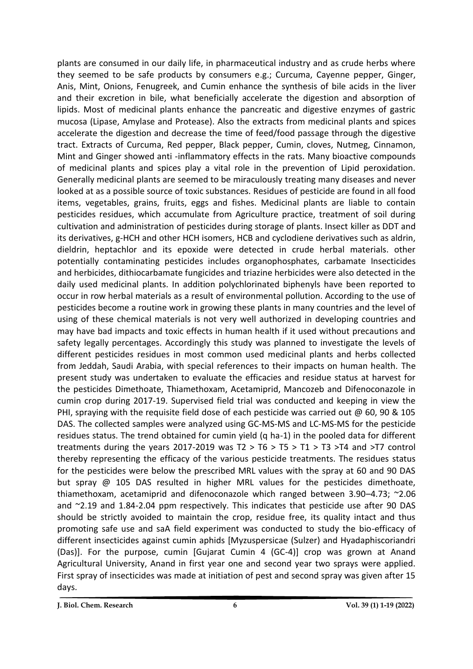plants are consumed in our daily life, in pharmaceutical industry and as crude herbs where they seemed to be safe products by consumers e.g.; Curcuma, Cayenne pepper, Ginger, Anis, Mint, Onions, Fenugreek, and Cumin enhance the synthesis of bile acids in the liver and their excretion in bile, what beneficially accelerate the digestion and absorption of lipids. Most of medicinal plants enhance the pancreatic and digestive enzymes of gastric mucosa (Lipase, Amylase and Protease). Also the extracts from medicinal plants and spices accelerate the digestion and decrease the time of feed/food passage through the digestive tract. Extracts of Curcuma, Red pepper, Black pepper, Cumin, cloves, Nutmeg, Cinnamon, Mint and Ginger showed anti -inflammatory effects in the rats. Many bioactive compounds of medicinal plants and spices play a vital role in the prevention of Lipid peroxidation. Generally medicinal plants are seemed to be miraculously treating many diseases and never looked at as a possible source of toxic substances. Residues of pesticide are found in all food items, vegetables, grains, fruits, eggs and fishes. Medicinal plants are liable to contain pesticides residues, which accumulate from Agriculture practice, treatment of soil during cultivation and administration of pesticides during storage of plants. Insect killer as DDT and its derivatives, g-HCH and other HCH isomers, HCB and cyclodiene derivatives such as aldrin, dieldrin, heptachlor and its epoxide were detected in crude herbal materials. other potentially contaminating pesticides includes organophosphates, carbamate Insecticides and herbicides, dithiocarbamate fungicides and triazine herbicides were also detected in the daily used medicinal plants. In addition polychlorinated biphenyls have been reported to occur in row herbal materials as a result of environmental pollution. According to the use of pesticides become a routine work in growing these plants in many countries and the level of using of these chemical materials is not very well authorized in developing countries and may have bad impacts and toxic effects in human health if it used without precautions and safety legally percentages. Accordingly this study was planned to investigate the levels of different pesticides residues in most common used medicinal plants and herbs collected from Jeddah, Saudi Arabia, with special references to their impacts on human health. The present study was undertaken to evaluate the efficacies and residue status at harvest for the pesticides Dimethoate, Thiamethoxam, Acetamiprid, Mancozeb and Difenoconazole in cumin crop during 2017-19. Supervised field trial was conducted and keeping in view the PHI, spraying with the requisite field dose of each pesticide was carried out @ 60, 90 & 105 DAS. The collected samples were analyzed using GC-MS-MS and LC-MS-MS for the pesticide residues status. The trend obtained for cumin yield (q ha-1) in the pooled data for different treatments during the years 2017-2019 was  $T2 > T6 > T5 > T1 > T3 > T4$  and  $> T7$  control thereby representing the efficacy of the various pesticide treatments. The residues status for the pesticides were below the prescribed MRL values with the spray at 60 and 90 DAS but spray  $\omega$  105 DAS resulted in higher MRL values for the pesticides dimethoate, thiamethoxam, acetamiprid and difenoconazole which ranged between 3.90–4.73; ~2.06 and ~2.19 and 1.84-2.04 ppm respectively. This indicates that pesticide use after 90 DAS should be strictly avoided to maintain the crop, residue free, its quality intact and thus promoting safe use and saA field experiment was conducted to study the bio-efficacy of different insecticides against cumin aphids [Myzuspersicae (Sulzer) and Hyadaphiscoriandri (Das)]. For the purpose, cumin [Gujarat Cumin 4 (GC-4)] crop was grown at Anand Agricultural University, Anand in first year one and second year two sprays were applied. First spray of insecticides was made at initiation of pest and second spray was given after 15 days.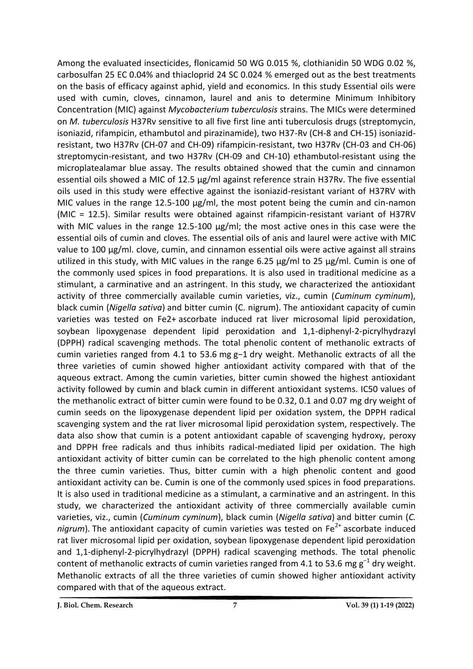Among the evaluated insecticides, flonicamid 50 WG 0.015 %, clothianidin 50 WDG 0.02 %, carbosulfan 25 EC 0.04% and thiacloprid 24 SC 0.024 % emerged out as the best treatments on the basis of efficacy against aphid, yield and economics. In this study Essential oils were used with cumin, cloves, cinnamon, laurel and anis to determine Minimum Inhibitory Concentration (MIC) against *Mycobacterium tuberculosis* strains. The MICs were determined on *M. tuberculosis* H37Rv sensitive to all five first line anti tuberculosis drugs (streptomycin, isoniazid, rifampicin, ethambutol and pirazinamide), two H37-Rv (CH-8 and CH-15) isoniazidresistant, two H37Rv (CH-07 and CH-09) rifampicin-resistant, two H37Rv (CH-03 and CH-06) streptomycin-resistant, and two H37Rv (CH-09 and CH-10) ethambutol-resistant using the microplatealamar blue assay. The results obtained showed that the cumin and cinnamon essential oils showed a MIC of 12.5 μg/ml against reference strain H37Rv. The five essential oils used in this study were effective against the isoniazid-resistant variant of H37RV with MIC values in the range 12.5-100 μg/ml, the most potent being the cumin and cin-namon (MIC = 12.5). Similar results were obtained against rifampicin-resistant variant of H37RV with MIC values in the range 12.5-100 μg/ml; the most active ones in this case were the essential oils of cumin and cloves. The essential oils of anis and laurel were active with MIC value to 100 μg/ml. clove, cumin, and cinnamon essential oils were active against all strains utilized in this study, with MIC values in the range 6.25  $\mu$ g/ml to 25  $\mu$ g/ml. Cumin is one of the commonly used spices in food preparations. It is also used in traditional medicine as a stimulant, a carminative and an astringent. In this study, we characterized the antioxidant activity of three commercially available cumin varieties, viz., cumin (*Cuminum cyminum*), black cumin (*Nigella sativa*) and bitter cumin (C. nigrum). The antioxidant capacity of cumin varieties was tested on Fe2+ ascorbate induced rat liver microsomal lipid peroxidation, soybean lipoxygenase dependent lipid peroxidation and 1,1-diphenyl-2-picrylhydrazyl (DPPH) radical scavenging methods. The total phenolic content of methanolic extracts of cumin varieties ranged from 4.1 to 53.6 mg g−1 dry weight. Methanolic extracts of all the three varieties of cumin showed higher antioxidant activity compared with that of the aqueous extract. Among the cumin varieties, bitter cumin showed the highest antioxidant activity followed by cumin and black cumin in different antioxidant systems. IC50 values of the methanolic extract of bitter cumin were found to be 0.32, 0.1 and 0.07 mg dry weight of cumin seeds on the lipoxygenase dependent lipid per oxidation system, the DPPH radical scavenging system and the rat liver microsomal lipid peroxidation system, respectively. The data also show that cumin is a potent antioxidant capable of scavenging hydroxy, peroxy and DPPH free radicals and thus inhibits radical-mediated lipid per oxidation. The high antioxidant activity of bitter cumin can be correlated to the high phenolic content among the three cumin varieties. Thus, bitter cumin with a high phenolic content and good antioxidant activity can be. Cumin is one of the commonly used spices in food preparations. It is also used in traditional medicine as a stimulant, a carminative and an astringent. In this study, we characterized the antioxidant activity of three commercially available cumin varieties, viz., cumin (*Cuminum cyminum*), black cumin (*Nigella sativa*) and bitter cumin (*C. nigrum*). The antioxidant capacity of cumin varieties was tested on Fe<sup>2+</sup> ascorbate induced rat liver microsomal lipid per oxidation, soybean lipoxygenase dependent lipid peroxidation and 1,1-diphenyl-2-picrylhydrazyl (DPPH) radical scavenging methods. The total phenolic content of methanolic extracts of cumin varieties ranged from 4.1 to 53.6 mg  $g^{-1}$  dry weight. Methanolic extracts of all the three varieties of cumin showed higher antioxidant activity compared with that of the aqueous extract.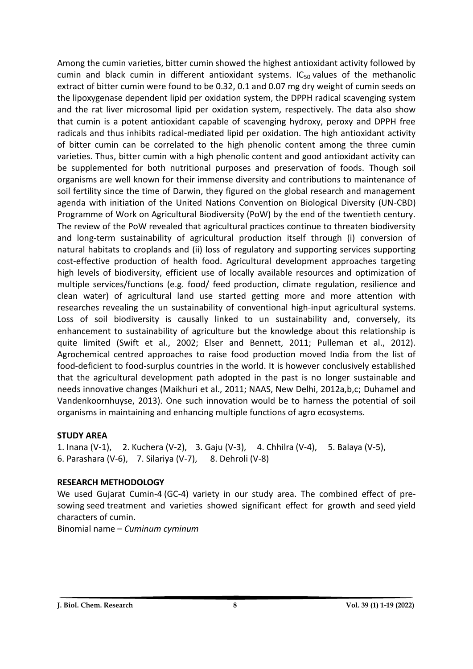Among the cumin varieties, bitter cumin showed the highest antioxidant activity followed by cumin and black cumin in different antioxidant systems.  $IC_{50}$  values of the methanolic extract of bitter cumin were found to be 0.32, 0.1 and 0.07 mg dry weight of cumin seeds on the lipoxygenase dependent lipid per oxidation system, the DPPH radical scavenging system and the rat liver microsomal lipid per oxidation system, respectively. The data also show that cumin is a potent antioxidant capable of scavenging hydroxy, peroxy and DPPH free radicals and thus inhibits radical-mediated lipid per oxidation. The high antioxidant activity of bitter cumin can be correlated to the high phenolic content among the three cumin varieties. Thus, bitter cumin with a high phenolic content and good antioxidant activity can be supplemented for both nutritional purposes and preservation of foods. Though soil organisms are well known for their immense diversity and contributions to maintenance of soil fertility since the time of Darwin, they figured on the global research and management agenda with initiation of the United Nations Convention on Biological Diversity (UN-CBD) Programme of Work on Agricultural Biodiversity (PoW) by the end of the twentieth century. The review of the PoW revealed that agricultural practices continue to threaten biodiversity and long-term sustainability of agricultural production itself through (i) conversion of natural habitats to croplands and (ii) loss of regulatory and supporting services supporting cost-effective production of health food. Agricultural development approaches targeting high levels of biodiversity, efficient use of locally available resources and optimization of multiple services/functions (e.g. food/ feed production, climate regulation, resilience and clean water) of agricultural land use started getting more and more attention with researches revealing the un sustainability of conventional high-input agricultural systems. Loss of soil biodiversity is causally linked to un sustainability and, conversely, its enhancement to sustainability of agriculture but the knowledge about this relationship is quite limited (Swift et al., 2002; Elser and Bennett, 2011; Pulleman et al., 2012). Agrochemical centred approaches to raise food production moved India from the list of food-deficient to food-surplus countries in the world. It is however conclusively established that the agricultural development path adopted in the past is no longer sustainable and needs innovative changes (Maikhuri et al., 2011; NAAS, New Delhi, 2012a,b,c; Duhamel and Vandenkoornhuyse, 2013). One such innovation would be to harness the potential of soil organisms in maintaining and enhancing multiple functions of agro ecosystems.

#### **STUDY AREA**

1. Inana (V-1), 2. Kuchera (V-2), 3. Gaju (V-3), 4. Chhilra (V-4), 5. Balaya (V-5), 6. Parashara (V-6), 7. Silariya (V-7), 8. Dehroli (V-8)

#### **RESEARCH METHODOLOGY**

We used Gujarat Cumin-4 (GC-4) variety in our study area. The combined effect of presowing seed treatment and varieties showed significant effect for growth and seed yield characters of cumin.

[Binomial name](https://en.wikipedia.org/wiki/Binomial_nomenclature) – *Cuminum cyminum*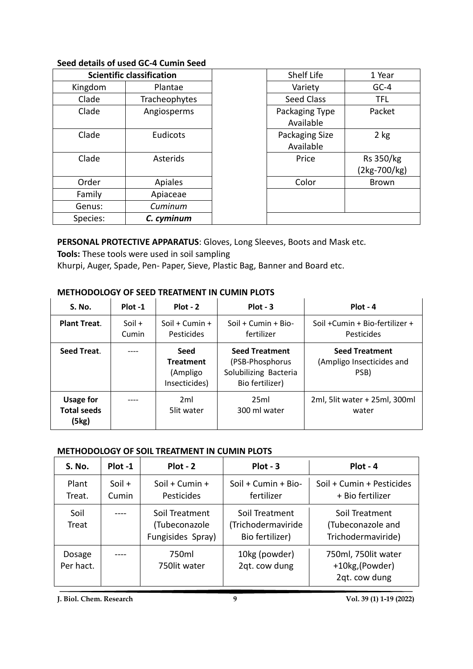#### **Seed details of used GC-4 Cumin Seed**

|          | <b>Scientific classification</b> | Shelf Life                  | 1 Year                    |
|----------|----------------------------------|-----------------------------|---------------------------|
| Kingdom  | Plantae                          | Variety                     | $GC-4$                    |
| Clade    | Tracheophytes                    | Seed Class                  | <b>TFL</b>                |
| Clade    | Angiosperms                      | Packaging Type<br>Available | Packet                    |
| Clade    | Eudicots                         | Packaging Size<br>Available | 2 kg                      |
| Clade    | <b>Asterids</b>                  | Price                       | Rs 350/kg<br>(2kg-700/kg) |
| Order    | Apiales                          | Color                       | <b>Brown</b>              |
| Family   | Apiaceae                         |                             |                           |
| Genus:   | Cuminum                          |                             |                           |
| Species: | C. cyminum                       |                             |                           |

# **PERSONAL PROTECTIVE APPARATUS**: Gloves, Long Sleeves, Boots and Mask etc.

**Tools:** These tools were used in soil sampling

Khurpi, Auger, Spade, Pen- Paper, Sieve, Plastic Bag, Banner and Board etc.

#### **METHODOLOGY OF SEED TREATMENT IN CUMIN PLOTS**

| <b>S. No.</b>                                   | $Plot -1$         | $Plot - 2$                                                   | $Plot - 3$                                                                           | $Plot - 4$                                                 |
|-------------------------------------------------|-------------------|--------------------------------------------------------------|--------------------------------------------------------------------------------------|------------------------------------------------------------|
| <b>Plant Treat.</b>                             | Soil $+$<br>Cumin | $Soil + Cumin +$<br>Pesticides                               | $Soil + Cumin + Bio-$<br>fertilizer                                                  | Soil +Cumin + Bio-fertilizer +<br>Pesticides               |
| Seed Treat.                                     | ----              | <b>Seed</b><br><b>Treatment</b><br>(Ampligo<br>Insecticides) | <b>Seed Treatment</b><br>(PSB-Phosphorus<br>Solubilizing Bacteria<br>Bio fertilizer) | <b>Seed Treatment</b><br>(Ampligo Insecticides and<br>PSB) |
| <b>Usage for</b><br><b>Total seeds</b><br>(5kg) | ----              | 2 <sub>ml</sub><br>5lit water                                | 25 <sub>ml</sub><br>300 ml water                                                     | 2ml, 5lit water + 25ml, 300ml<br>water                     |

## **METHODOLOGY OF SOIL TREATMENT IN CUMIN PLOTS**

| <b>S. No.</b>              | $Plot -1$         | $Plot - 2$                                           | $Plot - 3$                                              | Plot - 4                                                  |
|----------------------------|-------------------|------------------------------------------------------|---------------------------------------------------------|-----------------------------------------------------------|
| Plant<br>Treat.            | Soil $+$<br>Cumin | Soil + Cumin +<br>Pesticides                         | $Soil + Cumin + Bio-$<br>fertilizer                     | Soil + Cumin + Pesticides<br>+ Bio fertilizer             |
| Soil<br>Treat              |                   | Soil Treatment<br>(Tubeconazole<br>Fungisides Spray) | Soil Treatment<br>(Trichodermaviride<br>Bio fertilizer) | Soil Treatment<br>(Tubeconazole and<br>Trichodermaviride) |
| <b>Dosage</b><br>Per hact. |                   | 750ml<br>750lit water                                | 10kg (powder)<br>2qt. cow dung                          | 750ml, 750lit water<br>+10kg,(Powder)<br>2qt. cow dung    |

**J. Biol. Chem. Research 9 Vol. 39 (1) 1-19 (2022)**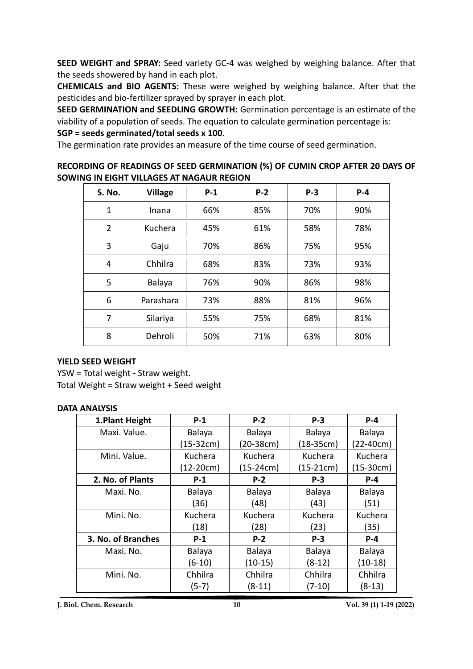**SEED WEIGHT and SPRAY:** Seed variety GC-4 was weighed by weighing balance. After that the seeds showered by hand in each plot.

**CHEMICALS and BIO AGENTS:** These were weighed by weighing balance. After that the pesticides and bio-fertilizer sprayed by sprayer in each plot.

**SEED GERMINATION and SEEDLING GROWTH:** Germination percentage is an estimate of the viability of a population of seeds. The equation to calculate germination percentage is:

#### **SGP = seeds germinated/total seeds x 100**.

The germination rate provides an measure of the time course of seed germination.

## **RECORDING OF READINGS OF SEED GERMINATION (%) OF CUMIN CROP AFTER 20 DAYS OF SOWING IN EIGHT VILLAGES AT NAGAUR REGION**

| S. No.         | <b>Village</b> | $P-1$ | $P-2$ | $P-3$ | $P - 4$ |
|----------------|----------------|-------|-------|-------|---------|
| $\mathbf{1}$   | Inana          | 66%   | 85%   | 70%   | 90%     |
| $\overline{2}$ | Kuchera        | 45%   | 61%   | 58%   | 78%     |
| 3              | Gaju           | 70%   | 86%   | 75%   | 95%     |
| 4              | Chhilra        | 68%   | 83%   | 73%   | 93%     |
| 5              | Balaya         | 76%   | 90%   | 86%   | 98%     |
| 6              | Parashara      | 73%   | 88%   | 81%   | 96%     |
| 7              | Silariya       | 55%   | 75%   | 68%   | 81%     |
| 8              | Dehroli        | 50%   | 71%   | 63%   | 80%     |

#### **YIELD SEED WEIGHT**

YSW = Total weight - Straw weight. Total Weight = Straw weight + Seed weight

#### **DATA ANALYSIS**

| 1. Plant Height    | $P-1$       | $P-2$     | $P-3$       | P-4         |
|--------------------|-------------|-----------|-------------|-------------|
| Maxi. Value.       | Balaya      | Balaya    | Balaya      | Balaya      |
|                    | $(15-32cm)$ | (20-38cm) | $(18-35cm)$ | (22-40cm)   |
| Mini. Value.       | Kuchera     | Kuchera   | Kuchera     | Kuchera     |
|                    | $(12-20cm)$ | (15-24cm) | $(15-21cm)$ | $(15-30cm)$ |
| 2. No. of Plants   | <b>P-1</b>  | $P-2$     | $P-3$       | <b>P-4</b>  |
| Maxi. No.          | Balaya      | Balaya    | Balaya      | Balaya      |
|                    | (36)        | (48)      | (43)        | (51)        |
| Mini. No.          | Kuchera     | Kuchera   | Kuchera     | Kuchera     |
|                    | (18)        | (28)      | (23)        | (35)        |
| 3. No. of Branches | $P-1$       | $P-2$     | $P-3$       | $P - 4$     |
| Maxi. No.          | Balaya      | Balaya    | Balaya      | Balaya      |
|                    | $(6-10)$    | (10-15)   | $(8-12)$    | $(10-18)$   |
| Mini. No.          | Chhilra     | Chhilra   | Chhilra     | Chhilra     |
|                    | (5-7)       | (8-11)    | $(7-10)$    | $(8-13)$    |

**J. Biol. Chem. Research 10 Vol. 39 (1) 1-19 (2022)**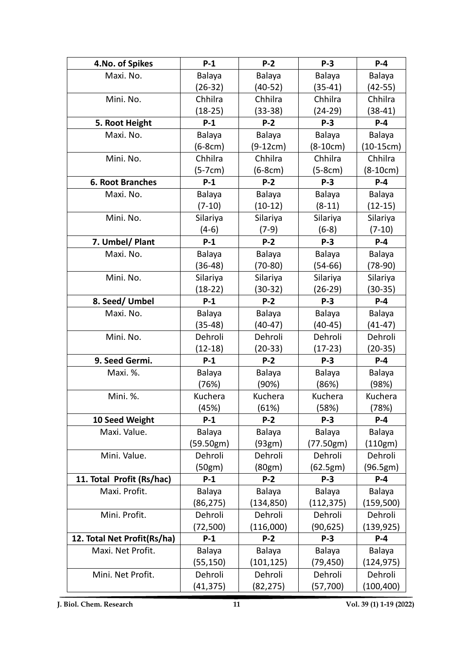| 4.No. of Spikes             | $P-1$     | $P-2$      | $P-3$      | $P-4$       |
|-----------------------------|-----------|------------|------------|-------------|
| Maxi. No.                   | Balaya    | Balaya     | Balaya     | Balaya      |
|                             | $(26-32)$ | (40-52)    | $(35-41)$  | (42-55)     |
| Mini. No.                   | Chhilra   | Chhilra    | Chhilra    | Chhilra     |
|                             | $(18-25)$ | $(33-38)$  | (24-29)    | $(38-41)$   |
| 5. Root Height              | $P-1$     | $P-2$      | $P-3$      | $P-4$       |
| Maxi. No.                   | Balaya    | Balaya     | Balaya     | Balaya      |
|                             | (6-8cm)   | (9-12cm)   | $(8-10cm)$ | $(10-15cm)$ |
| Mini. No.                   | Chhilra   | Chhilra    | Chhilra    | Chhilra     |
|                             | (5-7cm)   | (6-8cm)    | (5-8cm)    | (8-10cm)    |
| 6. Root Branches            | $P-1$     | $P-2$      | $P-3$      | $P-4$       |
| Maxi. No.                   | Balaya    | Balaya     | Balaya     | Balaya      |
|                             | $(7-10)$  | $(10-12)$  | $(8-11)$   | $(12-15)$   |
| Mini. No.                   | Silariya  | Silariya   | Silariya   | Silariya    |
|                             | $(4-6)$   | $(7-9)$    | $(6-8)$    | $(7-10)$    |
| 7. Umbel/ Plant             | $P-1$     | $P-2$      | $P-3$      | $P-4$       |
| Maxi. No.                   | Balaya    | Balaya     | Balaya     | Balaya      |
|                             | $(36-48)$ | $(70-80)$  | $(54-66)$  | (78-90)     |
| Mini. No.                   | Silariya  | Silariya   | Silariya   | Silariya    |
|                             | $(18-22)$ | $(30-32)$  | $(26-29)$  | (30-35)     |
| 8. Seed/Umbel               | $P-1$     | $P-2$      | $P-3$      | $P-4$       |
| Maxi. No.                   | Balaya    | Balaya     | Balaya     | Balaya      |
|                             | $(35-48)$ | (40-47)    | $(40-45)$  | (41-47)     |
| Mini. No.                   | Dehroli   | Dehroli    | Dehroli    | Dehroli     |
|                             | $(12-18)$ | $(20-33)$  | $(17-23)$  | $(20-35)$   |
| 9. Seed Germi.              | $P-1$     | $P-2$      | $P-3$      | $P-4$       |
| Maxi. %.                    | Balaya    | Balaya     | Balaya     | Balaya      |
|                             | (76%)     | (90%)      | (86%)      | (98%)       |
| Mini. %.                    | Kuchera   | Kuchera    | Kuchera    | Kuchera     |
|                             | (45%)     | (61%)      | (58%)      | (78%)       |
| 10 Seed Weight              | $P-1$     | $P-2$      | $P-3$      | $P-4$       |
| Maxi. Value.                | Balaya    | Balaya     | Balaya     | Balaya      |
|                             | (59.50gm) | (93gm)     | (77.50gm)  | (110gm)     |
| Mini. Value.                | Dehroli   | Dehroli    | Dehroli    | Dehroli     |
|                             | (50gm)    | (80gm)     | (62.5gm)   | (96.5gm)    |
| 11. Total Profit (Rs/hac)   | $P-1$     | $P-2$      | $P-3$      | $P-4$       |
| Maxi. Profit.               | Balaya    | Balaya     | Balaya     | Balaya      |
|                             | (86, 275) | (134, 850) | (112, 375) | (159, 500)  |
| Mini. Profit.               | Dehroli   | Dehroli    | Dehroli    | Dehroli     |
|                             | (72, 500) | (116,000)  | (90, 625)  | (139, 925)  |
| 12. Total Net Profit(Rs/ha) | $P-1$     | $P-2$      | $P-3$      | $P-4$       |
| Maxi. Net Profit.           | Balaya    | Balaya     | Balaya     | Balaya      |
|                             | (55,150)  | (101, 125) | (79,450)   | (124,975)   |
| Mini. Net Profit.           | Dehroli   | Dehroli    | Dehroli    | Dehroli     |
|                             | (41, 375) | (82, 275)  | (57, 700)  | (100, 400)  |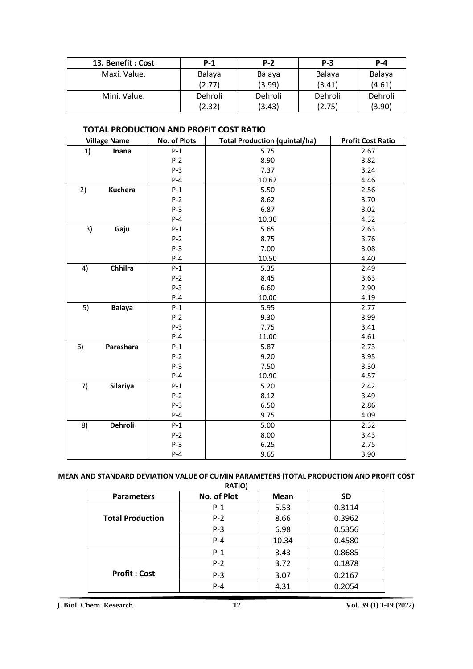| 13. Benefit: Cost | $P-1$   | $P-2$   | $P-3$   | $P - 4$ |
|-------------------|---------|---------|---------|---------|
| Maxi, Value.      | Balaya  | Balaya  | Balaya  | Balaya  |
|                   | (2.77)  | (3.99)  | (3.41)  | (4.61)  |
| Mini. Value.      | Dehroli | Dehroli | Dehroli | Dehroli |
|                   | (2.32)  | (3.43)  | (2.75)  | (3.90)  |

#### **TOTAL PRODUCTION AND PROFIT COST RATIO**

|    | <b>Village Name</b> | No. of Plots | <b>Total Production (quintal/ha)</b> | <b>Profit Cost Ratio</b> |
|----|---------------------|--------------|--------------------------------------|--------------------------|
| 1) | Inana               | $P-1$        | 5.75                                 | 2.67                     |
|    |                     | $P-2$        | 8.90                                 | 3.82                     |
|    |                     | $P-3$        | 7.37                                 | 3.24                     |
|    |                     | $P-4$        | 10.62                                | 4.46                     |
| 2) | <b>Kuchera</b>      | $P-1$        | 5.50                                 | 2.56                     |
|    |                     | $P-2$        | 8.62                                 | 3.70                     |
|    |                     | $P-3$        | 6.87                                 | 3.02                     |
|    |                     | $P - 4$      | 10.30                                | 4.32                     |
| 3) | Gaju                | $P-1$        | 5.65                                 | 2.63                     |
|    |                     | $P-2$        | 8.75                                 | 3.76                     |
|    |                     | $P-3$        | 7.00                                 | 3.08                     |
|    |                     | $P - 4$      | 10.50                                | 4.40                     |
| 4) | Chhilra             | $P-1$        | 5.35                                 | 2.49                     |
|    |                     | $P-2$        | 8.45                                 | 3.63                     |
|    |                     | $P-3$        | 6.60                                 | 2.90                     |
|    |                     | $P - 4$      | 10.00                                | 4.19                     |
| 5) | <b>Balaya</b>       | $P-1$        | 5.95                                 | 2.77                     |
|    |                     | $P-2$        | 9.30                                 | 3.99                     |
|    |                     | $P-3$        | 7.75                                 | 3.41                     |
|    |                     | $P - 4$      | 11.00                                | 4.61                     |
| 6) | Parashara           | $P-1$        | 5.87                                 | 2.73                     |
|    |                     | $P-2$        | 9.20                                 | 3.95                     |
|    |                     | $P-3$        | 7.50                                 | 3.30                     |
|    |                     | $P - 4$      | 10.90                                | 4.57                     |
| 7) | Silariya            | $P-1$        | 5.20                                 | 2.42                     |
|    |                     | $P-2$        | 8.12                                 | 3.49                     |
|    |                     | $P-3$        | 6.50                                 | 2.86                     |
|    |                     | $P - 4$      | 9.75                                 | 4.09                     |
| 8) | Dehroli             | $P-1$        | 5.00                                 | 2.32                     |
|    |                     | $P-2$        | 8.00                                 | 3.43                     |
|    |                     | $P-3$        | 6.25                                 | 2.75                     |
|    |                     | $P-4$        | 9.65                                 | 3.90                     |

#### **MEAN AND STANDARD DEVIATION VALUE OF CUMIN PARAMETERS (TOTAL PRODUCTION AND PROFIT COST RATIO)**

| <b>Parameters</b>       | No. of Plot | <b>Mean</b> | <b>SD</b> |
|-------------------------|-------------|-------------|-----------|
|                         | $P-1$       | 5.53        | 0.3114    |
| <b>Total Production</b> | $P-2$       | 8.66        | 0.3962    |
|                         | $P-3$       | 6.98        | 0.5356    |
|                         | $P - 4$     | 10.34       | 0.4580    |
|                         | $P-1$       | 3.43        | 0.8685    |
|                         | $P-2$       | 3.72        | 0.1878    |
| <b>Profit: Cost</b>     | $P-3$       | 3.07        | 0.2167    |
|                         | $P - 4$     | 4.31        | 0.2054    |

**J. Biol. Chem. Research 12 Vol. 39 (1) 1-19 (2022)**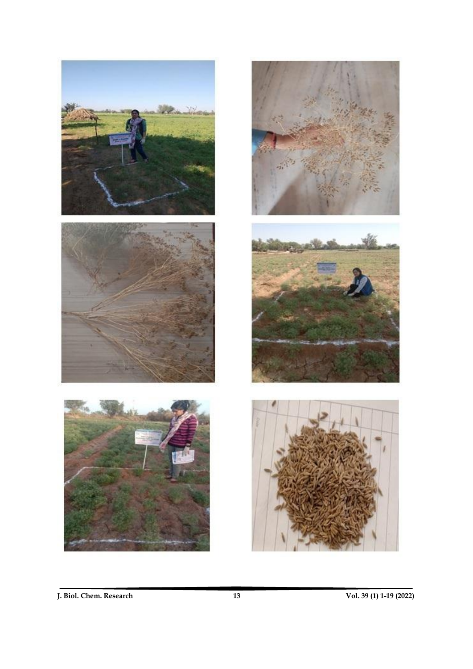





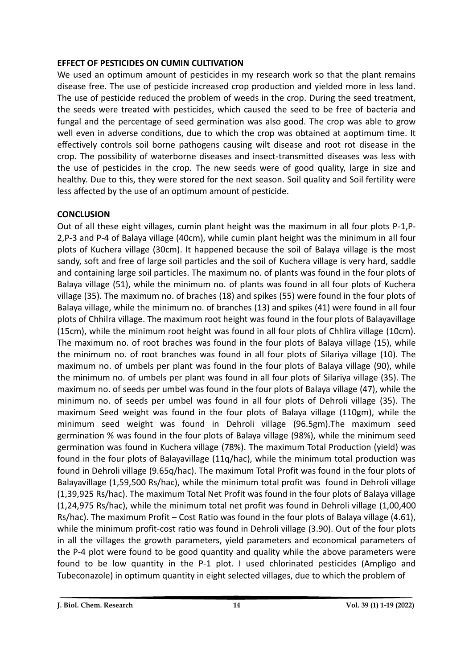#### **EFFECT OF PESTICIDES ON CUMIN CULTIVATION**

We used an optimum amount of pesticides in my research work so that the plant remains disease free. The use of pesticide increased crop production and yielded more in less land. The use of pesticide reduced the problem of weeds in the crop. During the seed treatment, the seeds were treated with pesticides, which caused the seed to be free of bacteria and fungal and the percentage of seed germination was also good. The crop was able to grow well even in adverse conditions, due to which the crop was obtained at aoptimum time. It effectively controls soil borne pathogens causing wilt disease and root rot disease in the crop. The possibility of waterborne diseases and insect-transmitted diseases was less with the use of pesticides in the crop. The new seeds were of good quality, large in size and healthy. Due to this, they were stored for the next season. Soil quality and Soil fertility were less affected by the use of an optimum amount of pesticide.

#### **CONCLUSION**

Out of all these eight villages, cumin plant height was the maximum in all four plots P-1,P-2,P-3 and P-4 of Balaya village (40cm), while cumin plant height was the minimum in all four plots of Kuchera village (30cm). It happened because the soil of Balaya village is the most sandy, soft and free of large soil particles and the soil of Kuchera village is very hard, saddle and containing large soil particles. The maximum no. of plants was found in the four plots of Balaya village (51), while the minimum no. of plants was found in all four plots of Kuchera village (35). The maximum no. of braches (18) and spikes (55) were found in the four plots of Balaya village, while the minimum no. of branches (13) and spikes (41) were found in all four plots of Chhilra village. The maximum root height was found in the four plots of Balayavillage (15cm), while the minimum root height was found in all four plots of Chhlira village (10cm). The maximum no. of root braches was found in the four plots of Balaya village (15), while the minimum no. of root branches was found in all four plots of Silariya village (10). The maximum no. of umbels per plant was found in the four plots of Balaya village (90), while the minimum no. of umbels per plant was found in all four plots of Silariya village (35). The maximum no. of seeds per umbel was found in the four plots of Balaya village (47), while the minimum no. of seeds per umbel was found in all four plots of Dehroli village (35). The maximum Seed weight was found in the four plots of Balaya village (110gm), while the minimum seed weight was found in Dehroli village (96.5gm).The maximum seed germination % was found in the four plots of Balaya village (98%), while the minimum seed germination was found in Kuchera village (78%). The maximum Total Production (yield) was found in the four plots of Balayavillage (11q/hac), while the minimum total production was found in Dehroli village (9.65q/hac). The maximum Total Profit was found in the four plots of Balayavillage (1,59,500 Rs/hac), while the minimum total profit was found in Dehroli village (1,39,925 Rs/hac). The maximum Total Net Profit was found in the four plots of Balaya village (1,24,975 Rs/hac), while the minimum total net profit was found in Dehroli village (1,00,400 Rs/hac). The maximum Profit – Cost Ratio was found in the four plots of Balaya village (4.61), while the minimum profit-cost ratio was found in Dehroli village (3.90). Out of the four plots in all the villages the growth parameters, yield parameters and economical parameters of the P-4 plot were found to be good quantity and quality while the above parameters were found to be low quantity in the P-1 plot. I used chlorinated pesticides (Ampligo and Tubeconazole) in optimum quantity in eight selected villages, due to which the problem of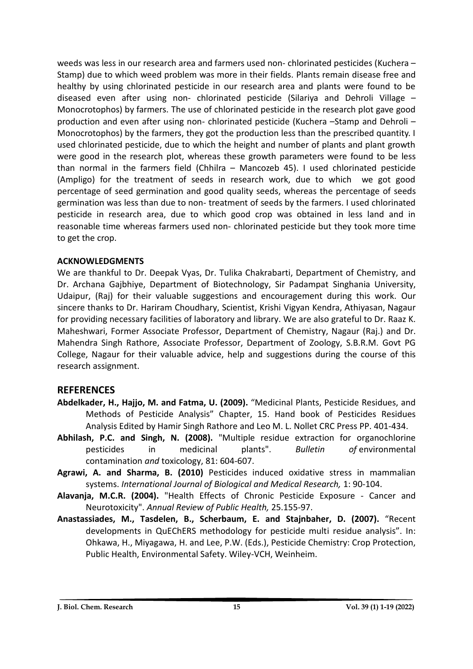weeds was less in our research area and farmers used non- chlorinated pesticides (Kuchera – Stamp) due to which weed problem was more in their fields. Plants remain disease free and healthy by using chlorinated pesticide in our research area and plants were found to be diseased even after using non- chlorinated pesticide (Silariya and Dehroli Village – Monocrotophos) by farmers. The use of chlorinated pesticide in the research plot gave good production and even after using non- chlorinated pesticide (Kuchera –Stamp and Dehroli – Monocrotophos) by the farmers, they got the production less than the prescribed quantity. I used chlorinated pesticide, due to which the height and number of plants and plant growth were good in the research plot, whereas these growth parameters were found to be less than normal in the farmers field (Chhilra – Mancozeb 45). I used chlorinated pesticide (Ampligo) for the treatment of seeds in research work, due to which we got good percentage of seed germination and good quality seeds, whereas the percentage of seeds germination was less than due to non- treatment of seeds by the farmers. I used chlorinated pesticide in research area, due to which good crop was obtained in less land and in reasonable time whereas farmers used non- chlorinated pesticide but they took more time to get the crop.

#### **ACKNOWLEDGMENTS**

We are thankful to Dr. Deepak Vyas, Dr. Tulika Chakrabarti, Department of Chemistry, and Dr. Archana Gajbhiye, Department of Biotechnology, Sir Padampat Singhania University, Udaipur, (Raj) for their valuable suggestions and encouragement during this work. Our sincere thanks to Dr. Hariram Choudhary, Scientist, Krishi Vigyan Kendra, Athiyasan, Nagaur for providing necessary facilities of laboratory and library. We are also grateful to Dr. Raaz K. Maheshwari, Former Associate Professor, Department of Chemistry, Nagaur (Raj.) and Dr. Mahendra Singh Rathore, Associate Professor, Department of Zoology, S.B.R.M. Govt PG College, Nagaur for their valuable advice, help and suggestions during the course of this research assignment.

#### **REFERENCES**

- **Abdelkader, H., Hajjo, M. and Fatma, U. (2009).** "Medicinal Plants, Pesticide Residues, and Methods of Pesticide Analysis" Chapter, 15. Hand book of Pesticides Residues Analysis Edited by Hamir Singh Rathore and Leo M. L. Nollet CRC Press PP. 401-434.
- **Abhilash, P.C. and Singh, N. (2008).** "Multiple residue extraction for organochlorine pesticides in medicinal plants". *Bulletin of* environmental contamination *and* toxicology, 81: 604-607.
- **Agrawi, A. and Sharma, B. (2010)** Pesticides induced oxidative stress in mammalian systems. *International Journal of Biological and Medical Research,* 1: 90-104.
- **Alavanja, M.C.R. (2004).** "Health Effects of Chronic Pesticide Exposure Cancer and Neurotoxicity". *Annual Review of Public Health,* 25.155-97.
- **Anastassiades, M., Tasdelen, B., Scherbaum, E. and Stajnbaher, D. (2007).** "Recent developments in QuEChERS methodology for pesticide multi residue analysis". In: Ohkawa, H., Miyagawa, H. and Lee, P.W. (Eds.), Pesticide Chemistry: Crop Protection, Public Health, Environmental Safety. Wiley-VCH, Weinheim.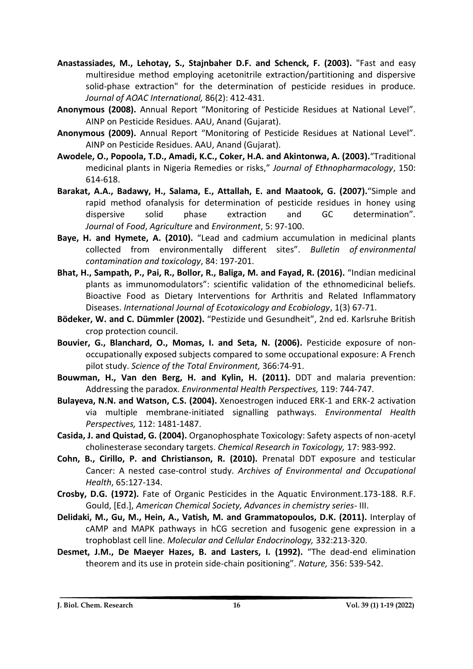- **Anastassiades, M., Lehotay, S., Stajnbaher D.F. and Schenck, F. (2003).** "Fast and easy multiresidue method employing acetonitrile extraction/partitioning and dispersive solid-phase extraction" for the determination of pesticide residues in produce. *Journal of AOAC International,* 86(2): 412-431.
- **Anonymous (2008).** Annual Report "Monitoring of Pesticide Residues at National Level". AINP on Pesticide Residues. AAU, Anand (Gujarat).
- **Anonymous (2009).** Annual Report "Monitoring of Pesticide Residues at National Level". AINP on Pesticide Residues. AAU, Anand (Gujarat).
- **Awodele, O., Popoola, T.D., Amadi, K.C., Coker, H.A. and Akintonwa, A. (2003).**"Traditional medicinal plants in Nigeria Remedies or risks," *Journal of Ethnopharmacology*, 150: 614-618.
- **Barakat, A.A., Badawy, H., Salama, E., Attallah, E. and Maatook, G. (2007).**"Simple and rapid method ofanalysis for determination of pesticide residues in honey using dispersive solid phase extraction and GC determination". *Journal* of *Food*, *Agriculture* and *Environment*, 5: 97-100.
- **Baye, H. and Hymete, A. (2010).** "Lead and cadmium accumulation in medicinal plants collected from environmentally different sites". *Bulletin of environmental contamination and toxicology*, 84: 197-201.
- **Bhat, H., Sampath, P., Pai, R., Bollor, R., Baliga, M. and Fayad, R. (2016).** "Indian medicinal plants as immunomodulators": scientific validation of the ethnomedicinal beliefs. Bioactive Food as Dietary Interventions for Arthritis and Related Inflammatory Diseases. *International Journal of Ecotoxicology and Ecobiology*, 1(3) 67-71.
- **Bödeker, W. and C. Dümmler (2002).** "Pestizide und Gesundheit", 2nd ed. Karlsruhe British crop protection council.
- **Bouvier, G., Blanchard, O., Momas, I. and Seta, N. (2006).** Pesticide exposure of nonoccupationally exposed subjects compared to some occupational exposure: A French pilot study. *Science of the Total Environment,* 366:74-91.
- **Bouwman, H., Van den Berg, H. and Kylin, H. (2011).** DDT and malaria prevention: Addressing the paradox. *Environmental Health Perspectives,* 119: 744-747.
- **Bulayeva, N.N. and Watson, C.S. (2004).** Xenoestrogen induced ERK-1 and ERK-2 activation via multiple membrane-initiated signalling pathways. *Environmental Health Perspectives,* 112: 1481-1487.
- **Casida, J. and Quistad, G. (2004).** Organophosphate Toxicology: Safety aspects of non-acetyl cholinesterase secondary targets. *Chemical Research in Toxicology,* 17: 983-992.
- **Cohn, B., Cirillo, P. and Christianson, R. (2010).** Prenatal DDT exposure and testicular Cancer: A nested case-control study. *Archives of Environmental and Occupational Health*, 65:127-134.
- **Crosby, D.G. (1972).** Fate of Organic Pesticides in the Aquatic Environment.173-188. R.F. Gould, [Ed.], *American Chemical Society, Advances in chemistry series*- III.
- **Delidaki, M., Gu, M., Hein, A., Vatish, M. and Grammatopoulos, D.K. (2011).** Interplay of cAMP and MAPK pathways in hCG secretion and fusogenic gene expression in a trophoblast cell line. *Molecular and Cellular Endocrinology,* 332:213-320.
- **Desmet, J.M., De Maeyer Hazes, B. and Lasters, I. (1992).** "The dead-end elimination theorem and its use in protein side-chain positioning". *Nature,* 356: 539-542.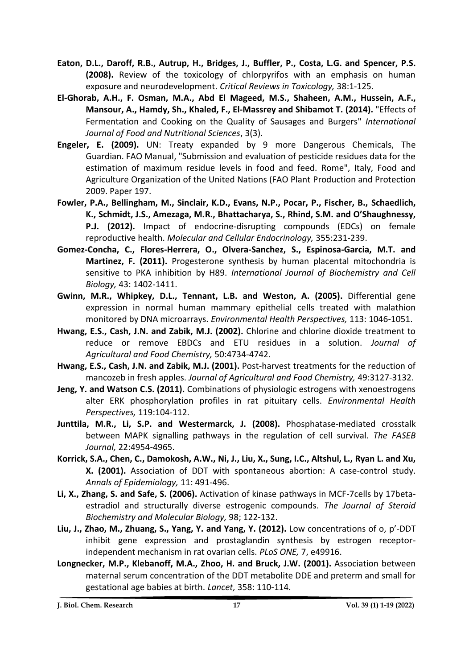- **Eaton, D.L., Daroff, R.B., Autrup, H., Bridges, J., Buffler, P., Costa, L.G. and Spencer, P.S. (2008).** Review of the toxicology of chlorpyrifos with an emphasis on human exposure and neurodevelopment. *Critical Reviews in Toxicology,* 38:1-125.
- **El-Ghorab, A.H., F. Osman, M.A., Abd El Mageed, M.S., Shaheen, A.M., Hussein, A.F., Mansour, A., Hamdy, Sh., Khaled, F., El-Massrey and Shibamot T. (2014).** "Effects of Fermentation and Cooking on the Quality of Sausages and Burgers" *International Journal of Food and Nutritional Sciences*, 3(3).
- **Engeler, E. (2009).** UN: Treaty expanded by 9 more Dangerous Chemicals, The Guardian. FAO Manual, "Submission and evaluation of pesticide residues data for the estimation of maximum residue levels in food and feed. Rome", Italy, Food and Agriculture Organization of the United Nations (FAO Plant Production and Protection 2009. Paper 197.
- **Fowler, P.A., Bellingham, M., Sinclair, K.D., Evans, N.P., Pocar, P., Fischer, B., Schaedlich, K., Schmidt, J.S., Amezaga, M.R., Bhattacharya, S., Rhind, S.M. and O'Shaughnessy, P.J. (2012).** Impact of endocrine-disrupting compounds (EDCs) on female reproductive health. *Molecular and Cellular Endocrinology,* 355:231-239.
- **Gomez-Concha, C., Flores-Herrera, O., Olvera-Sanchez, S., Espinosa-Garcia, M.T. and Martinez, F. (2011).** Progesterone synthesis by human placental mitochondria is sensitive to PKA inhibition by H89. *International Journal of Biochemistry and Cell Biology,* 43: 1402-1411.
- **Gwinn, M.R., Whipkey, D.L., Tennant, L.B. and Weston, A. (2005).** Differential gene expression in normal human mammary epithelial cells treated with malathion monitored by DNA microarrays. *Environmental Health Perspectives,* 113: 1046-1051.
- **Hwang, E.S., Cash, J.N. and Zabik, M.J. (2002).** Chlorine and chlorine dioxide treatment to reduce or remove EBDCs and ETU residues in a solution. *Journal of Agricultural and Food Chemistry,* 50:4734-4742.
- **Hwang, E.S., Cash, J.N. and Zabik, M.J. (2001).** Post-harvest treatments for the reduction of mancozeb in fresh apples. *Journal of Agricultural and Food Chemistry,* 49:3127-3132.
- **Jeng, Y. and Watson C.S. (2011).** Combinations of physiologic estrogens with xenoestrogens alter ERK phosphorylation profiles in rat pituitary cells. *Environmental Health Perspectives,* 119:104-112.
- **Junttila, M.R., Li, S.P. and Westermarck, J. (2008).** Phosphatase-mediated crosstalk between MAPK signalling pathways in the regulation of cell survival. *The FASEB Journal,* 22:4954-4965.
- **Korrick, S.A., Chen, C., Damokosh, A.W., Ni, J., Liu, X., Sung, I.C., Altshul, L., Ryan L. and Xu, X. (2001).** Association of DDT with spontaneous abortion: A case-control study. *Annals of Epidemiology,* 11: 491-496.
- **Li, X., Zhang, S. and Safe, S. (2006).** Activation of kinase pathways in MCF-7cells by 17betaestradiol and structurally diverse estrogenic compounds. *The Journal of Steroid Biochemistry and Molecular Biology,* 98; 122-132.
- **Liu, J., Zhao, M., Zhuang, S., Yang, Y. and Yang, Y. (2012).** Low concentrations of o, p'-DDT inhibit gene expression and prostaglandin synthesis by estrogen receptorindependent mechanism in rat ovarian cells. *PLoS ONE,* 7, e49916.
- **Longnecker, M.P., Klebanoff, M.A., Zhoo, H. and Bruck, J.W. (2001).** Association between maternal serum concentration of the DDT metabolite DDE and preterm and small for gestational age babies at birth. *Lancet,* 358: 110-114.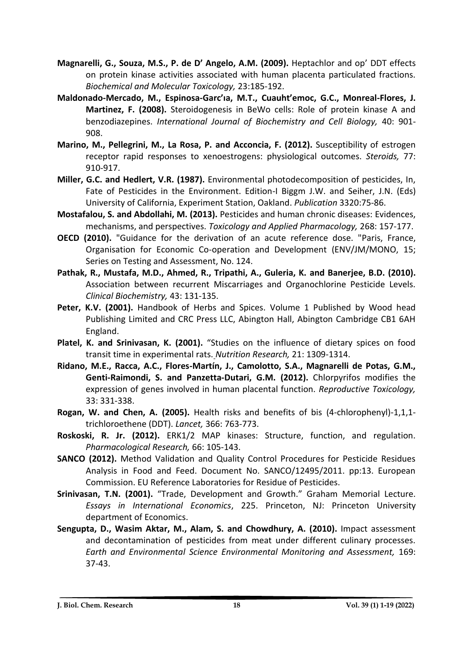- **Magnarelli, G., Souza, M.S., P. de D' Angelo, A.M. (2009).** Heptachlor and op' DDT effects on protein kinase activities associated with human placenta particulated fractions. *Biochemical and Molecular Toxicology,* 23:185-192.
- **Maldonado-Mercado, M., Espinosa-Garc'ıa, M.T., Cuauht'emoc, G.C., Monreal-Flores, J. Martinez, F. (2008).** Steroidogenesis in BeWo cells: Role of protein kinase A and benzodiazepines. *International Journal of Biochemistry and Cell Biology,* 40: 901- 908.
- **Marino, M., Pellegrini, M., La Rosa, P. and Acconcia, F. (2012).** Susceptibility of estrogen receptor rapid responses to xenoestrogens: physiological outcomes. *Steroids,* 77: 910-917.
- **Miller, G.C. and Hedlert, V.R. (1987).** Environmental photodecomposition of pesticides, In, Fate of Pesticides in the Environment. Edition-I Biggm J.W. and Seiher, J.N. (Eds) University of California, Experiment Station, Oakland. *Publication* 3320:75-86.
- **Mostafalou, S. and Abdollahi, M. (2013).** Pesticides and human chronic diseases: Evidences, mechanisms, and perspectives. *Toxicology and Applied Pharmacology,* 268: 157-177.
- **OECD (2010).** "Guidance for the derivation of an acute reference dose. "Paris, France, Organisation for Economic Co-operation and Development (ENV/JM/MONO, 15; Series on Testing and Assessment, No. 124.
- **Pathak, R., Mustafa, M.D., Ahmed, R., Tripathi, A., Guleria, K. and Banerjee, B.D. (2010).** Association between recurrent Miscarriages and Organochlorine Pesticide Levels. *Clinical Biochemistry,* 43: 131-135.
- **Peter, K.V. (2001).** Handbook of Herbs and Spices. Volume 1 Published by Wood head Publishing Limited and CRC Press LLC, Abington Hall, Abington Cambridge CB1 6AH England.
- **Platel, K. and Srinivasan, K. (2001).** "Studies on the influence of dietary spices on food transit time in experimental rats. *Nutrition Research,* 21: 1309-1314.
- **Ridano, M.E., Racca, A.C., Flores-Martín, J., Camolotto, S.A., Magnarelli de Potas, G.M., Genti-Raimondi, S. and Panzetta-Dutari, G.M. (2012).** Chlorpyrifos modifies the expression of genes involved in human placental function. *Reproductive Toxicology,* 33: 331-338.
- **Rogan, W. and Chen, A. (2005).** Health risks and benefits of bis (4-chlorophenyl)-1,1,1trichloroethene (DDT). *Lancet,* 366: 763-773.
- **Roskoski, R. Jr. (2012).** ERK1/2 MAP kinases: Structure, function, and regulation. *Pharmacological Research,* 66: 105-143.
- **SANCO (2012).** Method Validation and Quality Control Procedures for Pesticide Residues Analysis in Food and Feed. Document No. SANCO/12495/2011. pp:13. European Commission. EU Reference Laboratories for Residue of Pesticides.
- **Srinivasan, T.N. (2001).** "Trade, Development and Growth." Graham Memorial Lecture. *Essays in International Economics*, 225. Princeton, NJ: Princeton University department of Economics.
- **Sengupta, D., Wasim Aktar, M., Alam, S. and Chowdhury, A. (2010).** Impact assessment and decontamination of pesticides from meat under different culinary processes. *Earth and Environmental Science Environmental Monitoring and Assessment,* 169: 37-43.